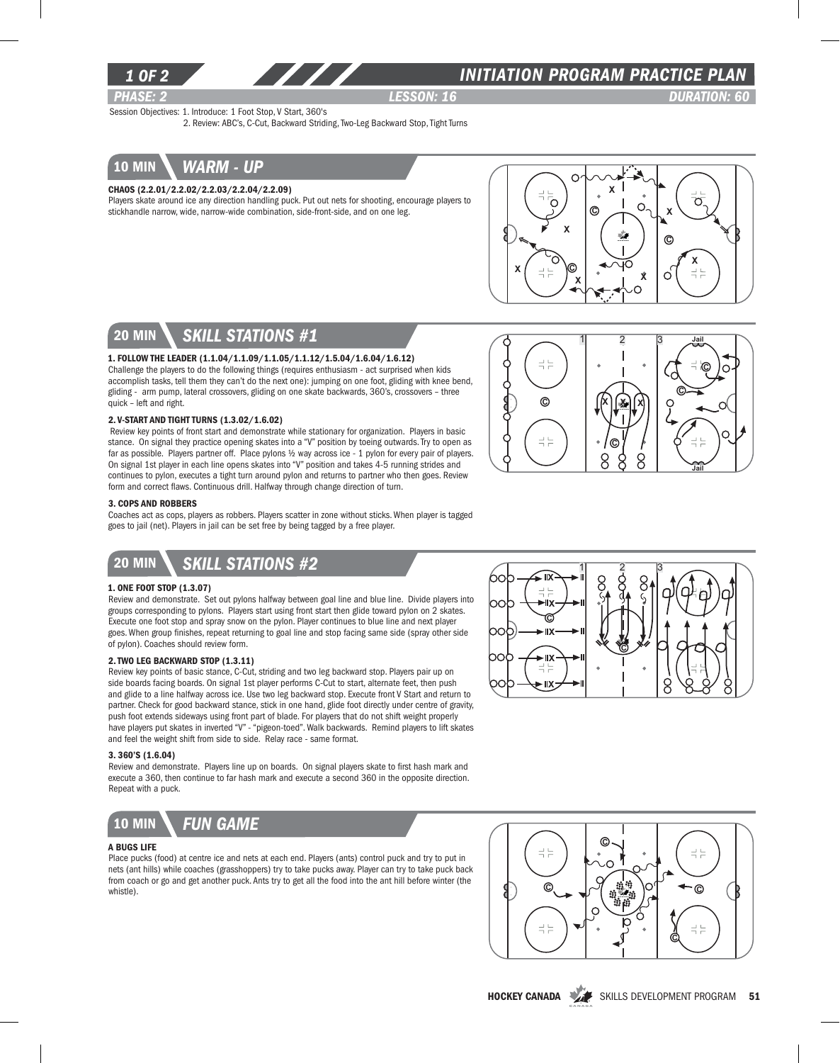

## *INITIATION program PRACTICE PLAN*

*PHASE: 2 Lesson: 16 DURATION: 60* 

Jail

C

C

Jail

Session Objectives: 1. Introduce: 1 Foot Stop, V Start, 360's

2. Review: ABC's, C-Cut, Backward Striding, Two-Leg Backward Stop, Tight Turns



### Chaos (2.2.01/2.2.02/2.2.03/2.2.04/2.2.09)

Players skate around ice any direction handling puck. Put out nets for shooting, encourage players to stickhandle narrow, wide, narrow-wide combination, side-front-side, and on one leg.



χ

8

C

Xell X

8 8

 $1 \quad 2 \quad 3$ 

 $\odot$ 

 $\frac{-1}{1} \frac{\Gamma}{\Gamma}$ 

로는

# 20 min *skill stations #1*

## 1. Follow the Leader (1.1.04/1.1.09/1.1.05/1.1.12/1.5.04/1.6.04/1.6.12)

Challenge the players to do the following things (requires enthusiasm - act surprised when kids accomplish tasks, tell them they can't do the next one): jumping on one foot, gliding with knee bend, gliding - arm pump, lateral crossovers, gliding on one skate backwards, 360's, crossovers – three quick – left and right.

#### 2. V-Start and Tight Turns (1.3.02/1.6.02)

 Review key points of front start and demonstrate while stationary for organization. Players in basic stance. On signal they practice opening skates into a "V" position by toeing outwards. Try to open as far as possible. Players partner off. Place pylons ½ way across ice - 1 pylon for every pair of players. On signal 1st player in each line opens skates into "V" position and takes 4-5 running strides and continues to pylon, executes a tight turn around pylon and returns to partner who then goes. Review form and correct flaws. Continuous drill. Halfway through change direction of turn.

#### 3. Cops and Robbers

Coaches act as cops, players as robbers. Players scatter in zone without sticks. When player is tagged goes to jail (net). Players in jail can be set free by being tagged by a free player.

## 20 min *skill stations #2*

#### 1. One Foot Stop (1.3.07)

Review and demonstrate. Set out pylons halfway between goal line and blue line. Divide players into groups corresponding to pylons. Players start using front start then glide toward pylon on 2 skates. Execute one foot stop and spray snow on the pylon. Player continues to blue line and next player goes. When group finishes, repeat returning to goal line and stop facing same side (spray other side of pylon). Coaches should review form.

### 2. Two Leg Backward Stop (1.3.11)

Review key points of basic stance, C-Cut, striding and two leg backward stop. Players pair up on side boards facing boards. On signal 1st player performs C-Cut to start, alternate feet, then push and glide to a line halfway across ice. Use two leg backward stop. Execute front V Start and return to partner. Check for good backward stance, stick in one hand, glide foot directly under centre of gravity, push foot extends sideways using front part of blade. For players that do not shift weight properly have players put skates in inverted "V" - "pigeon-toed". Walk backwards. Remind players to lift skates and feel the weight shift from side to side. Relay race - same format.

#### 3. 360's (1.6.04)

Review and demonstrate. Players line up on boards. On signal players skate to first hash mark and execute a 360, then continue to far hash mark and execute a second 360 in the opposite direction. Repeat with a puck.



#### A Bugs Life

Place pucks (food) at centre ice and nets at each end. Players (ants) control puck and try to put in nets (ant hills) while coaches (grasshoppers) try to take pucks away. Player can try to take puck back from coach or go and get another puck. Ants try to get all the food into the ant hill before winter (the whistle).





HOCKEY CANADA SKILLS DEVELOPMENT PROGRAM 51